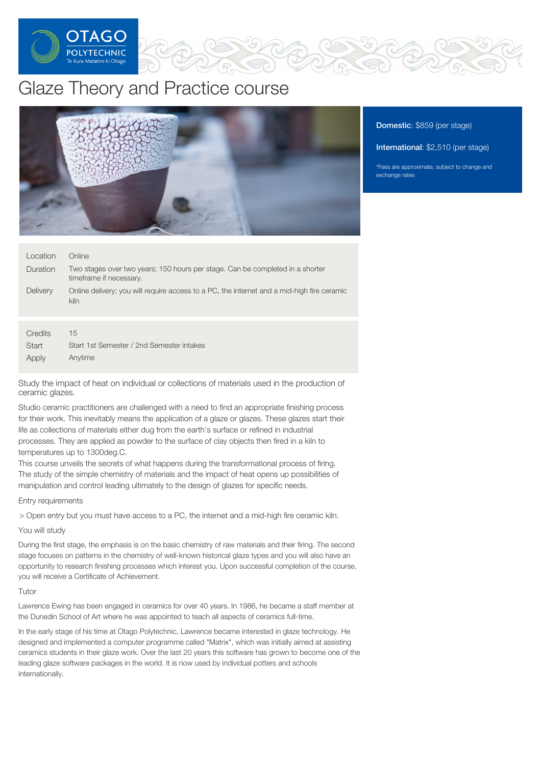

# Glaze Theory and Practice course



### Domestic: \$859 (per stage)

International: \$2,510 (per stage)

\*Fees are approximate, subject to change and exchange rates

| Location         | Online                                                                                                   |
|------------------|----------------------------------------------------------------------------------------------------------|
| <b>Duration</b>  | Two stages over two years; 150 hours per stage. Can be completed in a shorter<br>timeframe if necessary. |
| <b>Delivery</b>  | Online delivery; you will require access to a PC, the internet and a mid-high fire ceramic<br>kiln       |
|                  |                                                                                                          |
| Credits<br>Start | 15<br>Start 1st Semester / 2nd Semester intakes                                                          |
| Apply            | Anytime                                                                                                  |

Study the impact of heat on individual or collections of materials used in the production of ceramic glazes.

Studio ceramic practitioners are challenged with a need to find an appropriate finishing process for their work. This inevitably means the application of a glaze or glazes. These glazes start their life as collections of materials either dug from the earth's surface or refined in industrial processes. They are applied as powder to the surface of clay objects then fired in a kiln to temperatures up to 1300deg.C.

This course unveils the secrets of what happens during the transformational process of firing. The study of the simple chemistry of materials and the impact of heat opens up possibilities of manipulation and control leading ultimately to the design of glazes for specific needs.

Entry requirements

> Open entry but you must have access to a PC, the internet and a mid-high fire ceramic kiln.

You will study

During the first stage, the emphasis is on the basic chemistry of raw materials and their firing. The second stage focuses on patterns in the chemistry of well-known historical glaze types and you will also have an opportunity to research finishing processes which interest you. Upon successful completion of the course, you will receive a Certificate of Achievement.

# Tutor

Lawrence Ewing has been engaged in ceramics for over 40 years. In 1986, he became a staff member at the Dunedin School of Art where he was appointed to teach all aspects of ceramics full-time.

In the early stage of his time at Otago Polytechnic, Lawrence became interested in glaze technology. He designed and implemented a computer programme called "Matrix", which was initially aimed at assisting ceramics students in their glaze work. Over the last 20 years this software has grown to become one of the leading glaze software packages in the world. It is now used by individual potters and schools internationally.